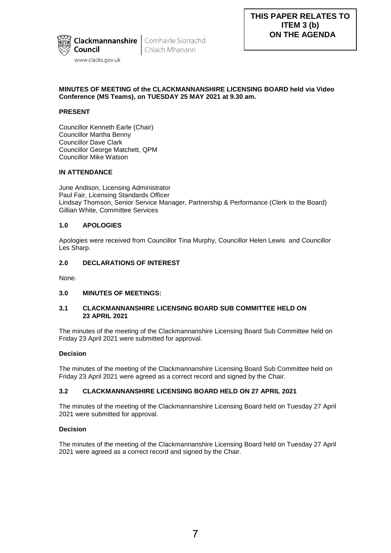

**Clackmannanshire** Comhairle Siorrachd Chlach Mhanann

# **MINUTES OF MEETING of the CLACKMANNANSHIRE LICENSING BOARD held via Video Conference (MS Teams), on TUESDAY 25 MAY 2021 at 9.30 am.**

# **PRESENT**

Councillor Kenneth Earle (Chair) Councillor Martha Benny Councillor Dave Clark Councillor George Matchett, QPM Councillor Mike Watson

# **IN ATTENDANCE**

June Andison, Licensing Administrator Paul Fair, Licensing Standards Officer Lindsay Thomson, Senior Service Manager, Partnership & Performance (Clerk to the Board) Gillian White, Committee Services

# **1.0 APOLOGIES**

Apologies were received from Councillor Tina Murphy, Councillor Helen Lewis and Councillor Les Sharp.

# **2.0 DECLARATIONS OF INTEREST**

None.

# **3.0 MINUTES OF MEETINGS:**

# **3.1 CLACKMANNANSHIRE LICENSING BOARD SUB COMMITTEE HELD ON 23 APRIL 2021**

The minutes of the meeting of the Clackmannanshire Licensing Board Sub Committee held on Friday 23 April 2021 were submitted for approval.

# **Decision**

The minutes of the meeting of the Clackmannanshire Licensing Board Sub Committee held on Friday 23 April 2021 were agreed as a correct record and signed by the Chair.

# **3.2 CLACKMANNANSHIRE LICENSING BOARD HELD ON 27 APRIL 2021**

The minutes of the meeting of the Clackmannanshire Licensing Board held on Tuesday 27 April 2021 were submitted for approval.

# **Decision**

The minutes of the meeting of the Clackmannanshire Licensing Board held on Tuesday 27 April 2021 were agreed as a correct record and signed by the Chair.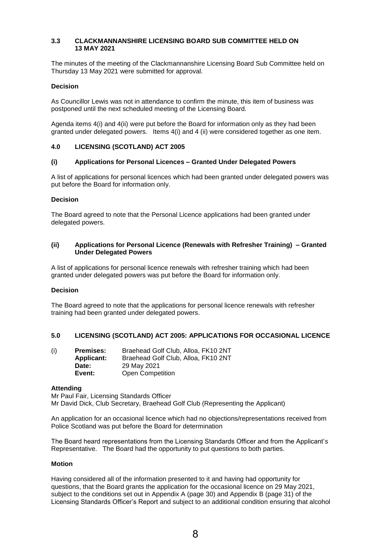### **3.3 CLACKMANNANSHIRE LICENSING BOARD SUB COMMITTEE HELD ON 13 MAY 2021**

The minutes of the meeting of the Clackmannanshire Licensing Board Sub Committee held on Thursday 13 May 2021 were submitted for approval.

### **Decision**

As Councillor Lewis was not in attendance to confirm the minute, this item of business was postponed until the next scheduled meeting of the Licensing Board.

Agenda items 4(i) and 4(ii) were put before the Board for information only as they had been granted under delegated powers. Items 4(i) and 4 (ii) were considered together as one item.

### **4.0 LICENSING (SCOTLAND) ACT 2005**

### **(i) Applications for Personal Licences – Granted Under Delegated Powers**

A list of applications for personal licences which had been granted under delegated powers was put before the Board for information only.

### **Decision**

The Board agreed to note that the Personal Licence applications had been granted under delegated powers.

### **(ii) Applications for Personal Licence (Renewals with Refresher Training) – Granted Under Delegated Powers**

A list of applications for personal licence renewals with refresher training which had been granted under delegated powers was put before the Board for information only.

### **Decision**

The Board agreed to note that the applications for personal licence renewals with refresher training had been granted under delegated powers.

# **5.0 LICENSING (SCOTLAND) ACT 2005: APPLICATIONS FOR OCCASIONAL LICENCE**

| (i) | <b>Premises:</b>  | Braehead Golf Club, Alloa, FK10 2NT |
|-----|-------------------|-------------------------------------|
|     | <b>Applicant:</b> | Braehead Golf Club, Alloa, FK10 2NT |
|     | Date:             | 29 May 2021                         |
|     | Event:            | <b>Open Competition</b>             |

### **Attending**

Mr Paul Fair, Licensing Standards Officer Mr David Dick, Club Secretary, Braehead Golf Club (Representing the Applicant)

An application for an occasional licence which had no objections/representations received from Police Scotland was put before the Board for determination

The Board heard representations from the Licensing Standards Officer and from the Applicant's Representative. The Board had the opportunity to put questions to both parties.

### **Motion**

Having considered all of the information presented to it and having had opportunity for questions, that the Board grants the application for the occasional licence on 29 May 2021, subject to the conditions set out in Appendix A (page 30) and Appendix B (page 31) of the Licensing Standards Officer's Report and subject to an additional condition ensuring that alcohol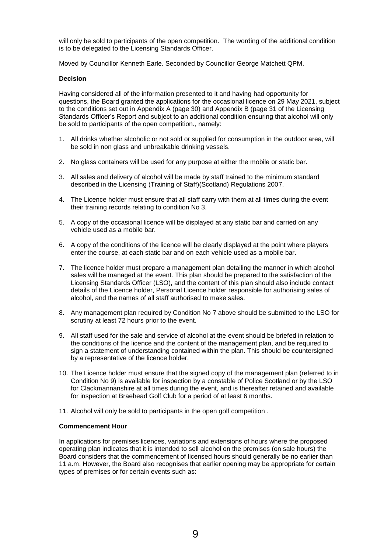will only be sold to participants of the open competition. The wording of the additional condition is to be delegated to the Licensing Standards Officer.

Moved by Councillor Kenneth Earle. Seconded by Councillor George Matchett QPM.

### **Decision**

Having considered all of the information presented to it and having had opportunity for questions, the Board granted the applications for the occasional licence on 29 May 2021, subject to the conditions set out in Appendix A (page 30) and Appendix B (page 31 of the Licensing Standards Officer's Report and subject to an additional condition ensuring that alcohol will only be sold to participants of the open competition., namely:

- 1. All drinks whether alcoholic or not sold or supplied for consumption in the outdoor area, will be sold in non glass and unbreakable drinking vessels.
- 2. No glass containers will be used for any purpose at either the mobile or static bar.
- 3. All sales and delivery of alcohol will be made by staff trained to the minimum standard described in the Licensing (Training of Staff)(Scotland) Regulations 2007.
- 4. The Licence holder must ensure that all staff carry with them at all times during the event their training records relating to condition No 3.
- 5. A copy of the occasional licence will be displayed at any static bar and carried on any vehicle used as a mobile bar.
- 6. A copy of the conditions of the licence will be clearly displayed at the point where players enter the course, at each static bar and on each vehicle used as a mobile bar.
- 7. The licence holder must prepare a management plan detailing the manner in which alcohol sales will be managed at the event. This plan should be prepared to the satisfaction of the Licensing Standards Officer (LSO), and the content of this plan should also include contact details of the Licence holder, Personal Licence holder responsible for authorising sales of alcohol, and the names of all staff authorised to make sales.
- 8. Any management plan required by Condition No 7 above should be submitted to the LSO for scrutiny at least 72 hours prior to the event.
- 9. All staff used for the sale and service of alcohol at the event should be briefed in relation to the conditions of the licence and the content of the management plan, and be required to sign a statement of understanding contained within the plan. This should be countersigned by a representative of the licence holder.
- 10. The Licence holder must ensure that the signed copy of the management plan (referred to in Condition No 9) is available for inspection by a constable of Police Scotland or by the LSO for Clackmannanshire at all times during the event, and is thereafter retained and available for inspection at Braehead Golf Club for a period of at least 6 months.
- 11. Alcohol will only be sold to participants in the open golf competition .

### **Commencement Hour**

In applications for premises licences, variations and extensions of hours where the proposed operating plan indicates that it is intended to sell alcohol on the premises (on sale hours) the Board considers that the commencement of licensed hours should generally be no earlier than 11 a.m. However, the Board also recognises that earlier opening may be appropriate for certain types of premises or for certain events such as: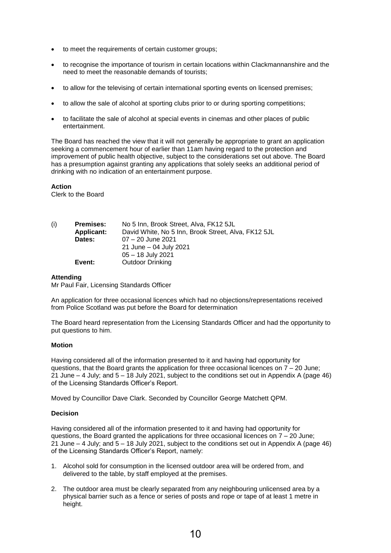- to meet the requirements of certain customer groups;
- to recognise the importance of tourism in certain locations within Clackmannanshire and the need to meet the reasonable demands of tourists;
- to allow for the televising of certain international sporting events on licensed premises;
- to allow the sale of alcohol at sporting clubs prior to or during sporting competitions;
- to facilitate the sale of alcohol at special events in cinemas and other places of public entertainment.

The Board has reached the view that it will not generally be appropriate to grant an application seeking a commencement hour of earlier than 11am having regard to the protection and improvement of public health objective, subject to the considerations set out above. The Board has a presumption against granting any applications that solely seeks an additional period of drinking with no indication of an entertainment purpose.

**Action** 

Clerk to the Board

| (i) | <b>Premises:</b>  | No 5 Inn, Brook Street, Alva, FK12 5JL              |
|-----|-------------------|-----------------------------------------------------|
|     | <b>Applicant:</b> | David White, No 5 Inn, Brook Street, Alva, FK12 5JL |
|     | Dates:            | 07 - 20 June 2021                                   |
|     |                   | 21 June - 04 July 2021                              |
|     |                   | $05 - 18$ July 2021                                 |
|     | Event:            | Outdoor Drinking                                    |

### **Attending**

Mr Paul Fair, Licensing Standards Officer

An application for three occasional licences which had no objections/representations received from Police Scotland was put before the Board for determination

The Board heard representation from the Licensing Standards Officer and had the opportunity to put questions to him.

### **Motion**

Having considered all of the information presented to it and having had opportunity for questions, that the Board grants the application for three occasional licences on  $7 - 20$  June; 21 June – 4 July; and 5 – 18 July 2021, subject to the conditions set out in Appendix A (page 46) of the Licensing Standards Officer's Report.

Moved by Councillor Dave Clark. Seconded by Councillor George Matchett QPM.

# **Decision**

Having considered all of the information presented to it and having had opportunity for questions, the Board granted the applications for three occasional licences on  $7 - 20$  June; 21 June – 4 July; and 5 – 18 July 2021, subject to the conditions set out in Appendix A (page 46) of the Licensing Standards Officer's Report, namely:

- 1. Alcohol sold for consumption in the licensed outdoor area will be ordered from, and delivered to the table, by staff employed at the premises.
- 2. The outdoor area must be clearly separated from any neighbouring unlicensed area by a physical barrier such as a fence or series of posts and rope or tape of at least 1 metre in height.